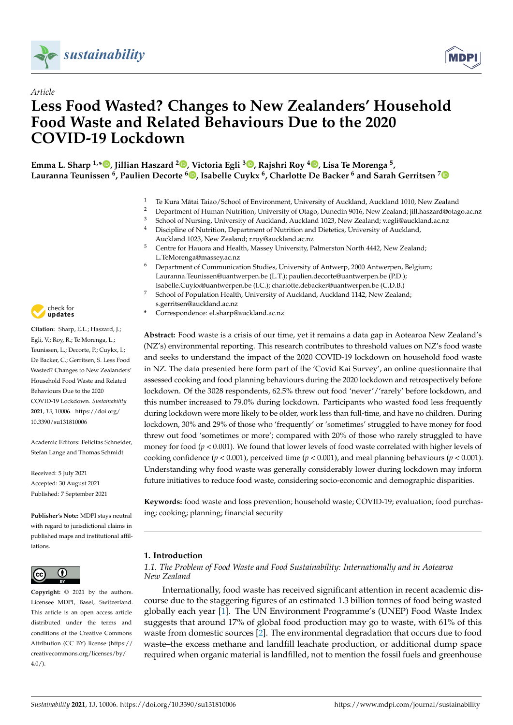

*Article*



# **Less Food Wasted? Changes to New Zealanders' Household Food Waste and Related Behaviours Due to the 2020 COVID-19 Lockdown**

**Emma L. Sharp 1,[\\*](https://orcid.org/0000-0002-4052-6918) , Jillian Haszard <sup>2</sup> [,](https://orcid.org/0000-0001-6312-7795) Victoria Egli <sup>3</sup> [,](https://orcid.org/0000-0002-3306-7709) Rajshri Roy <sup>4</sup> [,](https://orcid.org/0000-0002-7939-1790) Lisa Te Morenga <sup>5</sup> , Lauranna Teunissen <sup>6</sup> , Paulien Decorte <sup>6</sup> [,](https://orcid.org/0000-0002-8036-831X) Isabelle Cuykx <sup>6</sup> , Charlotte De Backer <sup>6</sup> and Sarah Gerritsen [7](https://orcid.org/0000-0002-8365-5023)**

- 1 Te Kura Mātai Taiao/School of Environment, University of Auckland, Auckland 1010, New Zealand<br>2 Department of Human Nutrition, University of Otace, Duncdin 9016, New Zealand: ill becard@eta
- <sup>2</sup> Department of Human Nutrition, University of Otago, Dunedin 9016, New Zealand; jill.haszard@otago.ac.nz
- <sup>3</sup> School of Nursing, University of Auckland, Auckland 1023, New Zealand; v.egli@auckland.ac.nz <sup>4</sup> Discipline of Nutrition, Department of Nutrition and Dietetics, University of Auckland,
- Auckland 1023, New Zealand; r.roy@auckland.ac.nz
- <sup>5</sup> Centre for Hauora and Health, Massey University, Palmerston North 4442, New Zealand; L.TeMorenga@massey.ac.nz
- <sup>6</sup> Department of Communication Studies, University of Antwerp, 2000 Antwerpen, Belgium; Lauranna.Teunissen@uantwerpen.be (L.T.); paulien.decorte@uantwerpen.be (P.D.);
- Isabelle.Cuykx@uantwerpen.be (I.C.); charlotte.debacker@uantwerpen.be (C.D.B.) <sup>7</sup> School of Population Health, University of Auckland, Auckland 1142, New Zealand; s.gerritsen@auckland.ac.nz
- **\*** Correspondence: el.sharp@auckland.ac.nz

**Abstract:** Food waste is a crisis of our time, yet it remains a data gap in Aotearoa New Zealand's (NZ's) environmental reporting. This research contributes to threshold values on NZ's food waste and seeks to understand the impact of the 2020 COVID-19 lockdown on household food waste in NZ. The data presented here form part of the 'Covid Kai Survey', an online questionnaire that assessed cooking and food planning behaviours during the 2020 lockdown and retrospectively before lockdown. Of the 3028 respondents, 62.5% threw out food 'never'/'rarely' before lockdown, and this number increased to 79.0% during lockdown. Participants who wasted food less frequently during lockdown were more likely to be older, work less than full-time, and have no children. During lockdown, 30% and 29% of those who 'frequently' or 'sometimes' struggled to have money for food threw out food 'sometimes or more'; compared with 20% of those who rarely struggled to have money for food ( $p < 0.001$ ). We found that lower levels of food waste correlated with higher levels of cooking confidence ( $p < 0.001$ ), perceived time ( $p < 0.001$ ), and meal planning behaviours ( $p < 0.001$ ). Understanding why food waste was generally considerably lower during lockdown may inform future initiatives to reduce food waste, considering socio-economic and demographic disparities.

**Keywords:** food waste and loss prevention; household waste; COVID-19; evaluation; food purchasing; cooking; planning; financial security

# **1. Introduction**

# *1.1. The Problem of Food Waste and Food Sustainability: Internationally and in Aotearoa New Zealand*

Internationally, food waste has received significant attention in recent academic discourse due to the staggering figures of an estimated 1.3 billion tonnes of food being wasted globally each year [\[1\]](#page-13-0). The UN Environment Programme's (UNEP) Food Waste Index suggests that around 17% of global food production may go to waste, with 61% of this waste from domestic sources [\[2\]](#page-13-1). The environmental degradation that occurs due to food waste–the excess methane and landfill leachate production, or additional dump space required when organic material is landfilled, not to mention the fossil fuels and greenhouse



**Citation:** Sharp, E.L.; Haszard, J.; Egli, V.; Roy, R.; Te Morenga, L.; Teunissen, L.; Decorte, P.; Cuykx, I.; De Backer, C.; Gerritsen, S. Less Food Wasted? Changes to New Zealanders' Household Food Waste and Related Behaviours Due to the 2020 COVID-19 Lockdown. *Sustainability* **2021**, *13*, 10006. [https://doi.org/](https://doi.org/10.3390/su131810006) [10.3390/su131810006](https://doi.org/10.3390/su131810006)

Academic Editors: Felicitas Schneider, Stefan Lange and Thomas Schmidt

Received: 5 July 2021 Accepted: 30 August 2021 Published: 7 September 2021

**Publisher's Note:** MDPI stays neutral with regard to jurisdictional claims in published maps and institutional affiliations.



**Copyright:** © 2021 by the authors. Licensee MDPI, Basel, Switzerland. This article is an open access article distributed under the terms and conditions of the Creative Commons Attribution (CC BY) license (https:/[/](https://creativecommons.org/licenses/by/4.0/) [creativecommons.org/licenses/by/](https://creativecommons.org/licenses/by/4.0/)  $4.0/$ ).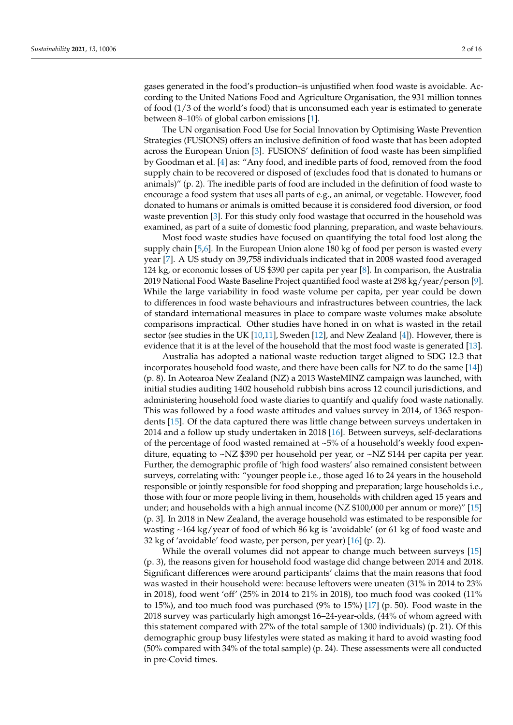gases generated in the food's production–is unjustified when food waste is avoidable. According to the United Nations Food and Agriculture Organisation, the 931 million tonnes of food (1/3 of the world's food) that is unconsumed each year is estimated to generate between 8–10% of global carbon emissions [\[1\]](#page-13-0).

The UN organisation Food Use for Social Innovation by Optimising Waste Prevention Strategies (FUSIONS) offers an inclusive definition of food waste that has been adopted across the European Union [\[3\]](#page-13-2). FUSIONS' definition of food waste has been simplified by Goodman et al. [\[4\]](#page-13-3) as: "Any food, and inedible parts of food, removed from the food supply chain to be recovered or disposed of (excludes food that is donated to humans or animals)" (p. 2). The inedible parts of food are included in the definition of food waste to encourage a food system that uses all parts of e.g., an animal, or vegetable. However, food donated to humans or animals is omitted because it is considered food diversion, or food waste prevention [\[3\]](#page-13-2). For this study only food wastage that occurred in the household was examined, as part of a suite of domestic food planning, preparation, and waste behaviours.

Most food waste studies have focused on quantifying the total food lost along the supply chain [\[5](#page-13-4)[,6\]](#page-13-5). In the European Union alone 180 kg of food per person is wasted every year [\[7\]](#page-13-6). A US study on 39,758 individuals indicated that in 2008 wasted food averaged 124 kg, or economic losses of US \$390 per capita per year [\[8\]](#page-13-7). In comparison, the Australia 2019 National Food Waste Baseline Project quantified food waste at 298 kg/year/person [\[9\]](#page-13-8). While the large variability in food waste volume per capita, per year could be down to differences in food waste behaviours and infrastructures between countries, the lack of standard international measures in place to compare waste volumes make absolute comparisons impractical. Other studies have honed in on what is wasted in the retail sector (see studies in the UK [\[10,](#page-13-9)[11\]](#page-13-10), Sweden [\[12\]](#page-13-11), and New Zealand [\[4\]](#page-13-3)). However, there is evidence that it is at the level of the household that the most food waste is generated [\[13\]](#page-13-12).

Australia has adopted a national waste reduction target aligned to SDG 12.3 that incorporates household food waste, and there have been calls for NZ to do the same [\[14\]](#page-13-13)) (p. 8). In Aotearoa New Zealand (NZ) a 2013 WasteMINZ campaign was launched, with initial studies auditing 1402 household rubbish bins across 12 council jurisdictions, and administering household food waste diaries to quantify and qualify food waste nationally. This was followed by a food waste attitudes and values survey in 2014, of 1365 respondents [\[15\]](#page-13-14). Of the data captured there was little change between surveys undertaken in 2014 and a follow up study undertaken in 2018 [\[16\]](#page-14-0). Between surveys, self-declarations of the percentage of food wasted remained at  $~5\%$  of a household's weekly food expenditure, equating to ~NZ \$390 per household per year, or ~NZ \$144 per capita per year. Further, the demographic profile of 'high food wasters' also remained consistent between surveys, correlating with: "younger people i.e., those aged 16 to 24 years in the household responsible or jointly responsible for food shopping and preparation; large households i.e., those with four or more people living in them, households with children aged 15 years and under; and households with a high annual income (NZ \$100,000 per annum or more)" [\[15\]](#page-13-14) (p. 3]. In 2018 in New Zealand, the average household was estimated to be responsible for wasting ~164 kg/year of food of which 86 kg is 'avoidable' (or 61 kg of food waste and 32 kg of 'avoidable' food waste, per person, per year) [\[16\]](#page-14-0) (p. 2).

While the overall volumes did not appear to change much between surveys [\[15\]](#page-13-14) (p. 3), the reasons given for household food wastage did change between 2014 and 2018. Significant differences were around participants' claims that the main reasons that food was wasted in their household were: because leftovers were uneaten (31% in 2014 to 23% in 2018), food went 'off' (25% in 2014 to 21% in 2018), too much food was cooked (11% to 15%), and too much food was purchased  $(9%$  to 15%) [\[17\]](#page-14-1)  $(p. 50)$ . Food waste in the 2018 survey was particularly high amongst 16–24-year-olds, (44% of whom agreed with this statement compared with 27% of the total sample of 1300 individuals) (p. 21). Of this demographic group busy lifestyles were stated as making it hard to avoid wasting food (50% compared with 34% of the total sample) (p. 24). These assessments were all conducted in pre-Covid times.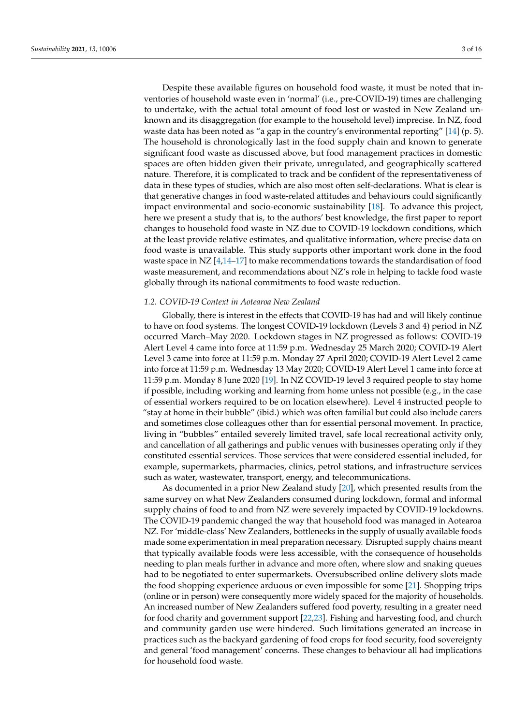Despite these available figures on household food waste, it must be noted that inventories of household waste even in 'normal' (i.e., pre-COVID-19) times are challenging to undertake, with the actual total amount of food lost or wasted in New Zealand unknown and its disaggregation (for example to the household level) imprecise. In NZ, food waste data has been noted as "a gap in the country's environmental reporting" [\[14\]](#page-13-13) (p. 5). The household is chronologically last in the food supply chain and known to generate significant food waste as discussed above, but food management practices in domestic spaces are often hidden given their private, unregulated, and geographically scattered nature. Therefore, it is complicated to track and be confident of the representativeness of data in these types of studies, which are also most often self-declarations. What is clear is that generative changes in food waste-related attitudes and behaviours could significantly impact environmental and socio-economic sustainability [\[18\]](#page-14-2). To advance this project, here we present a study that is, to the authors' best knowledge, the first paper to report changes to household food waste in NZ due to COVID-19 lockdown conditions, which at the least provide relative estimates, and qualitative information, where precise data on food waste is unavailable. This study supports other important work done in the food waste space in  $NZ$  [\[4,](#page-13-3)[14–](#page-13-13)[17\]](#page-14-1) to make recommendations towards the standardisation of food waste measurement, and recommendations about NZ's role in helping to tackle food waste globally through its national commitments to food waste reduction.

# *1.2. COVID-19 Context in Aotearoa New Zealand*

Globally, there is interest in the effects that COVID-19 has had and will likely continue to have on food systems. The longest COVID-19 lockdown (Levels 3 and 4) period in NZ occurred March–May 2020. Lockdown stages in NZ progressed as follows: COVID-19 Alert Level 4 came into force at 11:59 p.m. Wednesday 25 March 2020; COVID-19 Alert Level 3 came into force at 11:59 p.m. Monday 27 April 2020; COVID-19 Alert Level 2 came into force at 11:59 p.m. Wednesday 13 May 2020; COVID-19 Alert Level 1 came into force at 11:59 p.m. Monday 8 June 2020 [\[19\]](#page-14-3). In NZ COVID-19 level 3 required people to stay home if possible, including working and learning from home unless not possible (e.g., in the case of essential workers required to be on location elsewhere). Level 4 instructed people to "stay at home in their bubble" (ibid.) which was often familial but could also include carers and sometimes close colleagues other than for essential personal movement. In practice, living in "bubbles" entailed severely limited travel, safe local recreational activity only, and cancellation of all gatherings and public venues with businesses operating only if they constituted essential services. Those services that were considered essential included, for example, supermarkets, pharmacies, clinics, petrol stations, and infrastructure services such as water, wastewater, transport, energy, and telecommunications.

As documented in a prior New Zealand study [\[20\]](#page-14-4), which presented results from the same survey on what New Zealanders consumed during lockdown, formal and informal supply chains of food to and from NZ were severely impacted by COVID-19 lockdowns. The COVID-19 pandemic changed the way that household food was managed in Aotearoa NZ. For 'middle-class' New Zealanders, bottlenecks in the supply of usually available foods made some experimentation in meal preparation necessary. Disrupted supply chains meant that typically available foods were less accessible, with the consequence of households needing to plan meals further in advance and more often, where slow and snaking queues had to be negotiated to enter supermarkets. Oversubscribed online delivery slots made the food shopping experience arduous or even impossible for some [\[21\]](#page-14-5). Shopping trips (online or in person) were consequently more widely spaced for the majority of households. An increased number of New Zealanders suffered food poverty, resulting in a greater need for food charity and government support [\[22](#page-14-6)[,23\]](#page-14-7). Fishing and harvesting food, and church and community garden use were hindered. Such limitations generated an increase in practices such as the backyard gardening of food crops for food security, food sovereignty and general 'food management' concerns. These changes to behaviour all had implications for household food waste.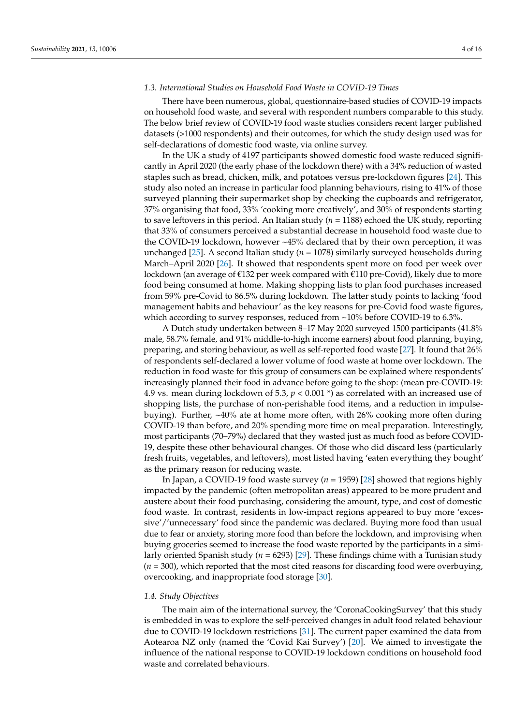# *1.3. International Studies on Household Food Waste in COVID-19 Times*

There have been numerous, global, questionnaire-based studies of COVID-19 impacts on household food waste, and several with respondent numbers comparable to this study. The below brief review of COVID-19 food waste studies considers recent larger published datasets (>1000 respondents) and their outcomes, for which the study design used was for self-declarations of domestic food waste, via online survey.

In the UK a study of 4197 participants showed domestic food waste reduced significantly in April 2020 (the early phase of the lockdown there) with a 34% reduction of wasted staples such as bread, chicken, milk, and potatoes versus pre-lockdown figures [\[24\]](#page-14-8). This study also noted an increase in particular food planning behaviours, rising to 41% of those surveyed planning their supermarket shop by checking the cupboards and refrigerator, 37% organising that food, 33% 'cooking more creatively', and 30% of respondents starting to save leftovers in this period. An Italian study (*n* = 1188) echoed the UK study, reporting that 33% of consumers perceived a substantial decrease in household food waste due to the COVID-19 lockdown, however ~45% declared that by their own perception, it was unchanged [\[25\]](#page-14-9). A second Italian study (*n* = 1078) similarly surveyed households during March–April 2020 [\[26\]](#page-14-10). It showed that respondents spent more on food per week over lockdown (an average of  $\epsilon$ 132 per week compared with  $\epsilon$ 110 pre-Covid), likely due to more food being consumed at home. Making shopping lists to plan food purchases increased from 59% pre-Covid to 86.5% during lockdown. The latter study points to lacking 'food management habits and behaviour' as the key reasons for pre-Covid food waste figures, which according to survey responses, reduced from ~10% before COVID-19 to 6.3%.

A Dutch study undertaken between 8–17 May 2020 surveyed 1500 participants (41.8% male, 58.7% female, and 91% middle-to-high income earners) about food planning, buying, preparing, and storing behaviour, as well as self-reported food waste [\[27\]](#page-14-11). It found that 26% of respondents self-declared a lower volume of food waste at home over lockdown. The reduction in food waste for this group of consumers can be explained where respondents' increasingly planned their food in advance before going to the shop: (mean pre-COVID-19: 4.9 vs. mean during lockdown of 5.3, *p* < 0.001 \*) as correlated with an increased use of shopping lists, the purchase of non-perishable food items, and a reduction in impulsebuying). Further, ~40% ate at home more often, with 26% cooking more often during COVID-19 than before, and 20% spending more time on meal preparation. Interestingly, most participants (70–79%) declared that they wasted just as much food as before COVID-19, despite these other behavioural changes. Of those who did discard less (particularly fresh fruits, vegetables, and leftovers), most listed having 'eaten everything they bought' as the primary reason for reducing waste.

In Japan, a COVID-19 food waste survey (*n* = 1959) [\[28\]](#page-14-12) showed that regions highly impacted by the pandemic (often metropolitan areas) appeared to be more prudent and austere about their food purchasing, considering the amount, type, and cost of domestic food waste. In contrast, residents in low-impact regions appeared to buy more 'excessive'/'unnecessary' food since the pandemic was declared. Buying more food than usual due to fear or anxiety, storing more food than before the lockdown, and improvising when buying groceries seemed to increase the food waste reported by the participants in a similarly oriented Spanish study (*n* = 6293) [\[29\]](#page-14-13). These findings chime with a Tunisian study  $(n = 300)$ , which reported that the most cited reasons for discarding food were overbuying, overcooking, and inappropriate food storage [\[30\]](#page-14-14).

# *1.4. Study Objectives*

The main aim of the international survey, the 'CoronaCookingSurvey' that this study is embedded in was to explore the self-perceived changes in adult food related behaviour due to COVID-19 lockdown restrictions [\[31\]](#page-14-15). The current paper examined the data from Aotearoa NZ only (named the 'Covid Kai Survey') [\[20\]](#page-14-4). We aimed to investigate the influence of the national response to COVID-19 lockdown conditions on household food waste and correlated behaviours.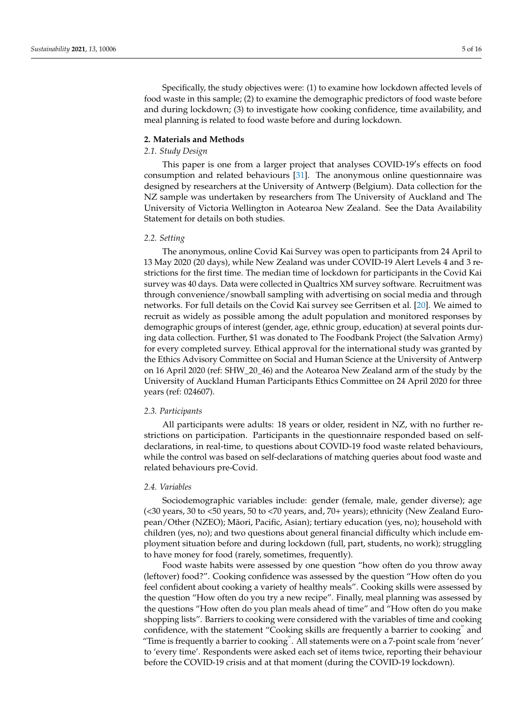Specifically, the study objectives were: (1) to examine how lockdown affected levels of food waste in this sample; (2) to examine the demographic predictors of food waste before and during lockdown; (3) to investigate how cooking confidence, time availability, and meal planning is related to food waste before and during lockdown.

# **2. Materials and Methods**

# *2.1. Study Design*

This paper is one from a larger project that analyses COVID-19's effects on food consumption and related behaviours [\[31\]](#page-14-15). The anonymous online questionnaire was designed by researchers at the University of Antwerp (Belgium). Data collection for the NZ sample was undertaken by researchers from The University of Auckland and The University of Victoria Wellington in Aotearoa New Zealand. See the Data Availability Statement for details on both studies.

### *2.2. Setting*

The anonymous, online Covid Kai Survey was open to participants from 24 April to 13 May 2020 (20 days), while New Zealand was under COVID-19 Alert Levels 4 and 3 restrictions for the first time. The median time of lockdown for participants in the Covid Kai survey was 40 days. Data were collected in Qualtrics XM survey software. Recruitment was through convenience/snowball sampling with advertising on social media and through networks. For full details on the Covid Kai survey see Gerritsen et al. [\[20\]](#page-14-4). We aimed to recruit as widely as possible among the adult population and monitored responses by demographic groups of interest (gender, age, ethnic group, education) at several points during data collection. Further, \$1 was donated to The Foodbank Project (the Salvation Army) for every completed survey. Ethical approval for the international study was granted by the Ethics Advisory Committee on Social and Human Science at the University of Antwerp on 16 April 2020 (ref: SHW\_20\_46) and the Aotearoa New Zealand arm of the study by the University of Auckland Human Participants Ethics Committee on 24 April 2020 for three years (ref: 024607).

### *2.3. Participants*

All participants were adults: 18 years or older, resident in NZ, with no further restrictions on participation. Participants in the questionnaire responded based on selfdeclarations, in real-time, to questions about COVID-19 food waste related behaviours, while the control was based on self-declarations of matching queries about food waste and related behaviours pre-Covid.

# *2.4. Variables*

Sociodemographic variables include: gender (female, male, gender diverse); age (<30 years, 30 to <50 years, 50 to <70 years, and, 70+ years); ethnicity (New Zealand European/Other (NZEO); Maori, Pacific, Asian); tertiary education (yes, no); household with ¯ children (yes, no); and two questions about general financial difficulty which include employment situation before and during lockdown (full, part, students, no work); struggling to have money for food (rarely, sometimes, frequently).

Food waste habits were assessed by one question "how often do you throw away (leftover) food?". Cooking confidence was assessed by the question "How often do you feel confident about cooking a variety of healthy meals". Cooking skills were assessed by the question "How often do you try a new recipe". Finally, meal planning was assessed by the questions "How often do you plan meals ahead of time" and "How often do you make shopping lists". Barriers to cooking were considered with the variables of time and cooking confidence, with the statement "Cooking skills are frequently a barrier to cooking" and "Time is frequently a barrier to cooking". All statements were on a 7-point scale from 'never' to 'every time'. Respondents were asked each set of items twice, reporting their behaviour before the COVID-19 crisis and at that moment (during the COVID-19 lockdown).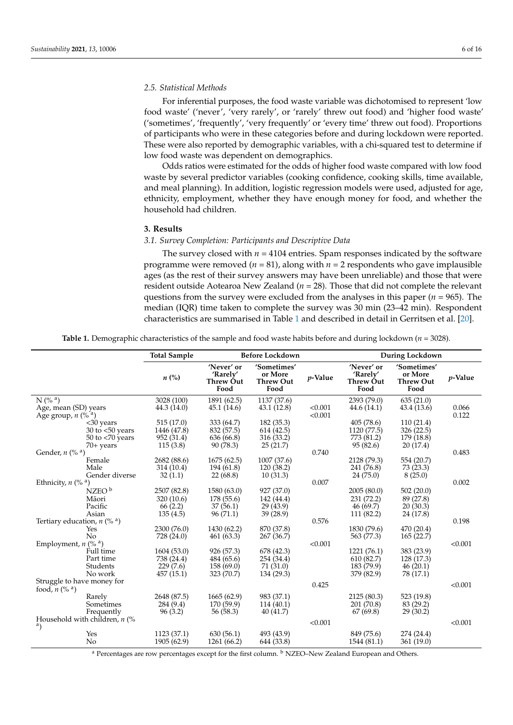# *2.5. Statistical Methods*

For inferential purposes, the food waste variable was dichotomised to represent 'low food waste' ('never', 'very rarely', or 'rarely' threw out food) and 'higher food waste' ('sometimes', 'frequently', 'very frequently' or 'every time' threw out food). Proportions of participants who were in these categories before and during lockdown were reported. These were also reported by demographic variables, with a chi-squared test to determine if low food waste was dependent on demographics.

Odds ratios were estimated for the odds of higher food waste compared with low food waste by several predictor variables (cooking confidence, cooking skills, time available, and meal planning). In addition, logistic regression models were used, adjusted for age, ethnicity, employment, whether they have enough money for food, and whether the household had children.

### **3. Results**

# *3.1. Survey Completion: Participants and Descriptive Data*

The survey closed with  $n = 4104$  entries. Spam responses indicated by the software programme were removed ( $n = 81$ ), along with  $n = 2$  respondents who gave implausible ages (as the rest of their survey answers may have been unreliable) and those that were resident outside Aotearoa New Zealand (*n* = 28). Those that did not complete the relevant questions from the survey were excluded from the analyses in this paper ( $n = 965$ ). The median (IQR) time taken to complete the survey was 30 min (23–42 min). Respondent characteristics are summarised in Table [1](#page-5-0) and described in detail in Gerritsen et al. [\[20\]](#page-14-4).

**Table 1.** Demographic characteristics of the sample and food waste habits before and during lockdown (*n* = 3028).

<span id="page-5-0"></span>

|                                                                                    | <b>Total Sample</b>                               | <b>Before Lockdown</b>                               |                                                     |                    | <b>During Lockdown</b>                               |                                                    |                 |
|------------------------------------------------------------------------------------|---------------------------------------------------|------------------------------------------------------|-----------------------------------------------------|--------------------|------------------------------------------------------|----------------------------------------------------|-----------------|
|                                                                                    | $n\ (\%)$                                         | 'Never' or<br>'Rarely'<br>Threw Out<br>Food          | 'Sometimes'<br>or More<br><b>Threw Out</b><br>Food  | <i>v</i> -Value    | 'Never' or<br>'Rarely'<br>Threw Out<br>Food          | 'Sometimes'<br>or More<br><b>Threw Out</b><br>Food | <i>v</i> -Value |
| $N$ (% $a)$<br>Age, mean (SD) years<br>Age group, $n \left(\% ^{a}\right)$         | 3028 (100)<br>44.3 (14.0)                         | 1891 (62.5)<br>45.1 (14.6)                           | 1137 (37.6)<br>43.1 (12.8)                          | < 0.001<br>< 0.001 | 2393 (79.0)<br>44.6(14.1)                            | 635(21.0)<br>43.4 (13.6)                           | 0.066<br>0.122  |
| <30 years<br>30 to $<$ 50 years<br>$50$ to $< 70$ years                            | 515(17.0)<br>1446 (47.8)<br>952 (31.4)            | 333 (64.7)<br>832 (57.5)<br>636 (66.8)               | 182 (35.3)<br>614(42.5)<br>316 (33.2)               |                    | 405(78.6)<br>1120 (77.5)<br>773 (81.2)               | 110(21.4)<br>326 (22.5)<br>179 (18.8)              |                 |
| $70+$ years<br>Gender, $n$ (% $a$ )<br>Female<br>Male                              | 115(3.8)<br>2682 (88.6)<br>314 (10.4)             | 90 (78.3)<br>1675(62.5)<br>194 (61.8)                | 25(21.7)<br>1007 (37.6)<br>120 (38.2)               | 0.740              | 95 (82.6)<br>2128 (79.3)<br>241 (76.8)               | 20 (17.4)<br>554 (20.7)<br>73 (23.3)               | 0.483           |
| Gender diverse<br>Ethnicity, $n \left(\% a\right)$<br>$NZEO^b$                     | 32(1.1)<br>2507 (82.8)                            | 22(68.8)<br>1580 (63.0)                              | 10(31.3)<br>927 (37.0)                              | 0.007              | 24(75.0)<br>2005(80.0)                               | 8(25.0)<br>502(20.0)                               | 0.002           |
| Māori<br>Pacific<br>Asian                                                          | 320 (10.6)<br>66(2.2)<br>135(4.5)                 | 178 (55.6)<br>37(56.1)<br>96(71.1)                   | 142 (44.4)<br>29 (43.9)<br>39 (28.9)                |                    | 231 (72.2)<br>46(69.7)<br>111 (82.2)                 | 89 (27.8)<br>20(30.3)<br>24 (17.8)                 |                 |
| Tertiary education, $n \left(\% \right)$<br>Yes<br>No                              | 2300 (76.0)<br>728(24.0)                          | 1430 (62.2)<br>461 (63.3)                            | 870 (37.8)<br>267 (36.7)                            | 0.576              | 1830 (79.6)<br>563 (77.3)                            | 470 (20.4)<br>165(22.7)                            | 0.198           |
| Employment, $n$ (% <sup>a</sup> )<br>Full time<br>Part time<br>Students<br>No work | 1604(53.0)<br>738 (24.4)<br>229(7.6)<br>457(15.1) | 926 (57.3)<br>484 (65.6)<br>158 (69.0)<br>323 (70.7) | 678 (42.3)<br>254 (34.4)<br>71 (31.0)<br>134 (29.3) | < 0.001            | 1221 (76.1)<br>610(82.7)<br>183 (79.9)<br>379 (82.9) | 383 (23.9)<br>128 (17.3)<br>46(20.1)<br>78 (17.1)  | < 0.001         |
| Struggle to have money for<br>food, $n \left(\% \right)^a$                         |                                                   |                                                      |                                                     | 0.425              |                                                      |                                                    | < 0.001         |
| Rarely<br>Sometimes<br>Frequently                                                  | 2648 (87.5)<br>284 (9.4)<br>96(3.2)               | 1665(62.9)<br>170 (59.9)<br>56 (58.3)                | 983 (37.1)<br>114(40.1)<br>40 (41.7)                |                    | 2125 (80.3)<br>201 (70.8)<br>67(69.8)                | 523 (19.8)<br>83 (29.2)<br>29 (30.2)               |                 |
| Household with children, $n$ (%<br>a)<br>Yes<br>No                                 | 1123 (37.1)<br>1905 (62.9)                        | 630(56.1)<br>1261 (66.2)                             | 493 (43.9)<br>644 (33.8)                            | < 0.001            | 849 (75.6)<br>1544 (81.1)                            | 274 (24.4)<br>361 (19.0)                           | < 0.001         |

a Percentages are row percentages except for the first column.  $\frac{b}{c}$  NZEO–New Zealand European and Others.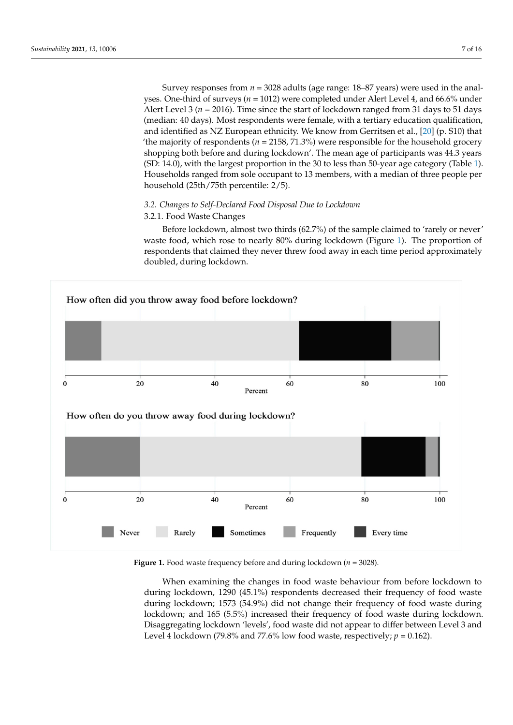Survey responses from *n* = 3028 adults (age range: 18–87 years) were used in the analyses. One-third of surveys (*n* = 1012) were completed under Alert Level 4, and 66.6% under Alert Level 3 ( $n = 2016$ ). Time since the start of lockdown ranged from 31 days to 51 days (median: 40 days). Most respondents were female, with a tertiary education qualification, and identified as NZ European ethnicity. We know from Gerritsen et al., [\[20\]](#page-14-4) (p. S10) that 'the majority of respondents ( $n = 2158, 71.3\%$ ) were responsible for the household grocery shopping both before and during lockdown'. The mean age of participants was 44.3 years (SD: 14.0), with the largest proportion in the 30 to less than 50-year age category (Table [1\)](#page-5-0). Households ranged from sole occupant to 13 members, with a median of three people per household (25th/75th percentile: 2/5).

# *3.2. Changes to Self-Declared Food Disposal Due to Lockdown*

# 3.2.1. Food Waste Changes

Before lockdown, almost two thirds (62.7%) of the sample claimed to 'rarely or never' waste food, which rose to nearly 80% during lockdown (Figure [1\)](#page-6-0). The proportion of *respondents that claimed they never threw food away in each time period approximately* doubled, during lockdown.

<span id="page-6-0"></span>

**Figure 1.** Food waste frequency before and during lockdown (*n* = 3028). **Figure 1.** Food waste frequency before and during lockdown (*n* = 3028).

When examining the changes in food waste behaviour from before lockdown to during lockdown, 1290 (45.1%) respondents decreased their frequency of food waste during lockdown; 1573 (54.9%) did not change their frequency of food waste during during lockdown, 1290 (45.1%) respondents decreased their frequency of food waste during lockdown; 1573 (54.9%) did not change their frequency of food waste during lockdown; and 165 (5.5%) increased their frequency of food Disaggregating lockdown 'levels', food waste did not appear to differ between Level 3 and Level 4 lockdown (79.8% and 77.6% low food waste, respectively;  $p = 0.162$ ).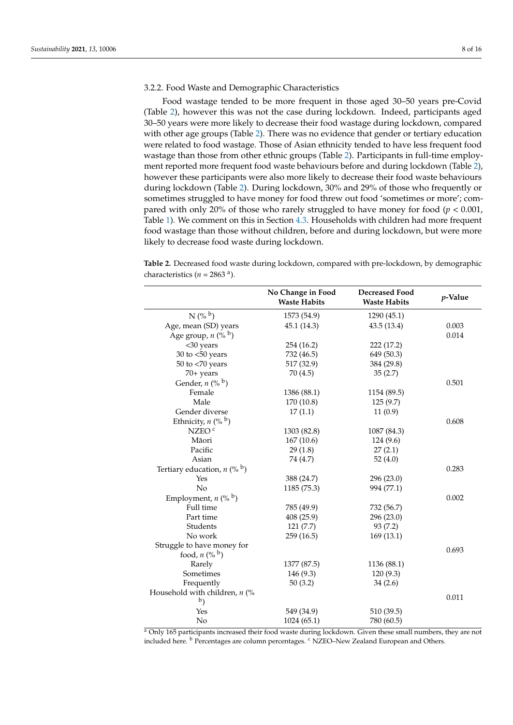# 3.2.2. Food Waste and Demographic Characteristics

Food wastage tended to be more frequent in those aged 30–50 years pre-Covid (Table [2\)](#page-7-0), however this was not the case during lockdown. Indeed, participants aged 30–50 years were more likely to decrease their food wastage during lockdown, compared with other age groups (Table [2\)](#page-7-0). There was no evidence that gender or tertiary education were related to food wastage. Those of Asian ethnicity tended to have less frequent food wastage than those from other ethnic groups (Table [2\)](#page-7-0). Participants in full-time employment reported more frequent food waste behaviours before and during lockdown (Table [2\)](#page-7-0), however these participants were also more likely to decrease their food waste behaviours during lockdown (Table [2\)](#page-7-0). During lockdown, 30% and 29% of those who frequently or sometimes struggled to have money for food threw out food 'sometimes or more'; compared with only 20% of those who rarely struggled to have money for food (*p* < 0.001, Table [1\)](#page-5-0). We comment on this in Section [4.3.](#page-10-0) Households with children had more frequent food wastage than those without children, before and during lockdown, but were more likely to decrease food waste during lockdown.

<span id="page-7-0"></span>**Table 2.** Decreased food waste during lockdown, compared with pre-lockdown, by demographic characteristics  $(n = 2863)$ <sup>a</sup>).

|                                    | No Change in Food<br><b>Waste Habits</b> | <b>Decreased Food</b><br><b>Waste Habits</b> | <i>p</i> -Value |
|------------------------------------|------------------------------------------|----------------------------------------------|-----------------|
| $N({\%}^b)$                        | 1573 (54.9)                              | 1290 (45.1)                                  |                 |
| Age, mean (SD) years               | 45.1 (14.3)                              | 43.5(13.4)                                   | 0.003           |
| Age group, $n \binom{0}{b}$        |                                          |                                              | 0.014           |
| <30 years                          | 254 (16.2)                               | 222 (17.2)                                   |                 |
| 30 to $<$ 50 years                 | 732 (46.5)                               | 649 (50.3)                                   |                 |
| $50$ to $< 70$ years               | 517 (32.9)                               | 384 (29.8)                                   |                 |
| 70+ years                          | 70 (4.5)                                 | 35(2.7)                                      |                 |
| Gender, $n \binom{0}{b}$           |                                          |                                              | 0.501           |
| Female                             | 1386 (88.1)                              | 1154 (89.5)                                  |                 |
| Male                               | 170 (10.8)                               | 125(9.7)                                     |                 |
| Gender diverse                     | 17(1.1)                                  | 11(0.9)                                      |                 |
| Ethnicity, $n \, (\%^{\,b})$       |                                          |                                              | 0.608           |
| NZEO <sup>c</sup>                  | 1303 (82.8)                              | 1087 (84.3)                                  |                 |
| Māori                              | 167(10.6)                                | 124 (9.6)                                    |                 |
| Pacific                            | 29(1.8)                                  | 27(2.1)                                      |                 |
| Asian                              | 74 (4.7)                                 | 52 $(4.0)$                                   |                 |
| Tertiary education, $n$ (% $b$ )   |                                          |                                              | 0.283           |
| Yes                                | 388 (24.7)                               | 296 (23.0)                                   |                 |
| No                                 | 1185 (75.3)                              | 994 (77.1)                                   |                 |
| Employment, $n$ (% $\frac{b}{b}$ ) |                                          |                                              | 0.002           |
| Full time                          | 785 (49.9)                               | 732 (56.7)                                   |                 |
| Part time                          | 408 (25.9)                               | 296 (23.0)                                   |                 |
| Students                           | 121(7.7)                                 | 93 (7.2)                                     |                 |
| No work                            | 259 (16.5)                               | 169(13.1)                                    |                 |
| Struggle to have money for         |                                          |                                              |                 |
| food, $n(^{06}b)$                  |                                          |                                              | 0.693           |
| Rarely                             | 1377 (87.5)                              | 1136 (88.1)                                  |                 |
| Sometimes                          | 146 (9.3)                                | 120(9.3)                                     |                 |
| Frequently                         | 50(3.2)                                  | 34(2.6)                                      |                 |
| Household with children, $n$ (%    |                                          |                                              | 0.011           |
| b)                                 |                                          |                                              |                 |
| Yes                                | 549 (34.9)                               | 510 (39.5)                                   |                 |
| No                                 | 1024 (65.1)                              | 780 (60.5)                                   |                 |

<sup>a</sup> Only 165 participants increased their food waste during lockdown. Given these small numbers, they are not included here. <sup>b</sup> Percentages are column percentages. <sup>c</sup> NZEO–New Zealand European and Others.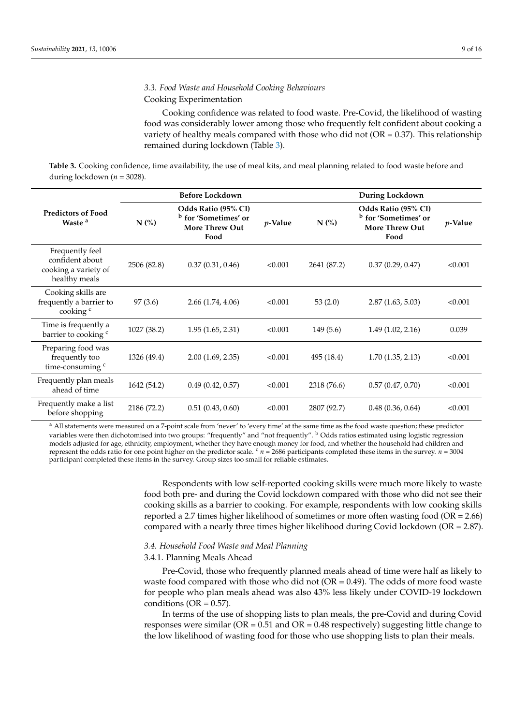# *3.3. Food Waste and Household Cooking Behaviours*

# Cooking Experimentation

Cooking confidence was related to food waste. Pre-Covid, the likelihood of wasting food was considerably lower among those who frequently felt confident about cooking a variety of healthy meals compared with those who did not ( $OR = 0.37$ ). This relationship remained during lockdown (Table [3\)](#page-8-0).

<span id="page-8-0"></span>**Table 3.** Cooking confidence, time availability, the use of meal kits, and meal planning related to food waste before and during lockdown (*n* = 3028).

|                                                                             | <b>Before Lockdown</b> |                                                                                         |                 | During Lockdown |                                                                                         |                 |  |
|-----------------------------------------------------------------------------|------------------------|-----------------------------------------------------------------------------------------|-----------------|-----------------|-----------------------------------------------------------------------------------------|-----------------|--|
| <b>Predictors of Food</b><br>Waste <sup>a</sup>                             | N(%                    | Odds Ratio (95% CI)<br><sup>b</sup> for 'Sometimes' or<br><b>More Threw Out</b><br>Food | <i>p</i> -Value | N(%)            | Odds Ratio (95% CI)<br><sup>b</sup> for 'Sometimes' or<br><b>More Threw Out</b><br>Food | <i>p</i> -Value |  |
| Frequently feel<br>confident about<br>cooking a variety of<br>healthy meals | 2506 (82.8)            | 0.37(0.31, 0.46)                                                                        | < 0.001         | 2641 (87.2)     | 0.37(0.29, 0.47)                                                                        | < 0.001         |  |
| Cooking skills are<br>frequently a barrier to<br>cooking <sup>c</sup>       | 97 (3.6)               | 2.66(1.74, 4.06)                                                                        | < 0.001         | 53(2.0)         | 2.87(1.63, 5.03)                                                                        | < 0.001         |  |
| Time is frequently a<br>barrier to cooking <sup>c</sup>                     | 1027 (38.2)            | 1.95(1.65, 2.31)                                                                        | < 0.001         | 149(5.6)        | 1.49(1.02, 2.16)                                                                        | 0.039           |  |
| Preparing food was<br>frequently too<br>time-consuming <sup>c</sup>         | 1326 (49.4)            | 2.00(1.69, 2.35)                                                                        | < 0.001         | 495 (18.4)      | 1.70(1.35, 2.13)                                                                        | < 0.001         |  |
| Frequently plan meals<br>ahead of time                                      | 1642 (54.2)            | 0.49(0.42, 0.57)                                                                        | < 0.001         | 2318 (76.6)     | 0.57(0.47, 0.70)                                                                        | < 0.001         |  |
| Frequently make a list<br>before shopping                                   | 2186 (72.2)            | 0.51(0.43, 0.60)                                                                        | < 0.001         | 2807 (92.7)     | 0.48(0.36, 0.64)                                                                        | < 0.001         |  |

<sup>a</sup> All statements were measured on a 7-point scale from 'never' to 'every time' at the same time as the food waste question; these predictor variables were then dichotomised into two groups: "frequently" and "not frequently". <sup>b</sup> Odds ratios estimated using logistic regression models adjusted for age, ethnicity, employment, whether they have enough money for food, and whether the household had children and represent the odds ratio for one point higher on the predictor scale.  $c_n = 2686$  participants completed these items in the survey. *n* = 3004 participant completed these items in the survey. Group sizes too small for reliable estimates.

> Respondents with low self-reported cooking skills were much more likely to waste food both pre- and during the Covid lockdown compared with those who did not see their cooking skills as a barrier to cooking. For example, respondents with low cooking skills reported a 2.7 times higher likelihood of sometimes or more often wasting food (OR = 2.66) compared with a nearly three times higher likelihood during Covid lockdown (OR = 2.87).

# *3.4. Household Food Waste and Meal Planning*

# 3.4.1. Planning Meals Ahead

Pre-Covid, those who frequently planned meals ahead of time were half as likely to waste food compared with those who did not ( $OR = 0.49$ ). The odds of more food waste for people who plan meals ahead was also 43% less likely under COVID-19 lockdown conditions ( $OR = 0.57$ ).

In terms of the use of shopping lists to plan meals, the pre-Covid and during Covid responses were similar ( $OR = 0.51$  and  $OR = 0.48$  respectively) suggesting little change to the low likelihood of wasting food for those who use shopping lists to plan their meals.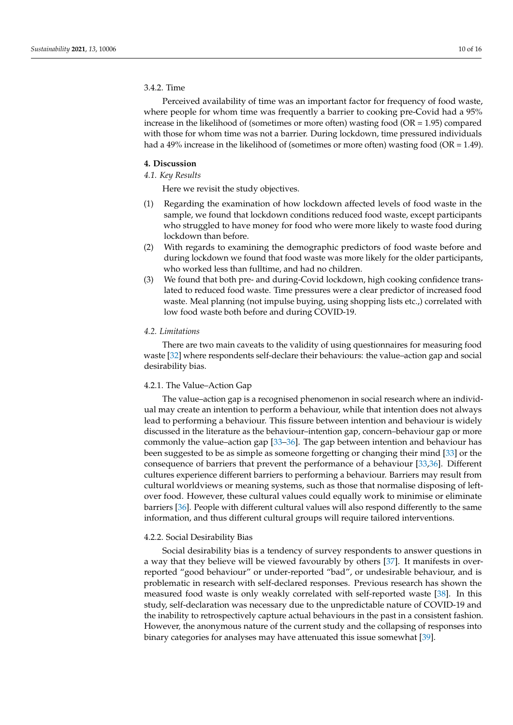# 3.4.2. Time

Perceived availability of time was an important factor for frequency of food waste, where people for whom time was frequently a barrier to cooking pre-Covid had a 95% increase in the likelihood of (sometimes or more often) wasting food ( $OR = 1.95$ ) compared with those for whom time was not a barrier. During lockdown, time pressured individuals had a 49% increase in the likelihood of (sometimes or more often) wasting food (OR = 1.49).

### **4. Discussion**

# *4.1. Key Results*

Here we revisit the study objectives.

- (1) Regarding the examination of how lockdown affected levels of food waste in the sample, we found that lockdown conditions reduced food waste, except participants who struggled to have money for food who were more likely to waste food during lockdown than before.
- (2) With regards to examining the demographic predictors of food waste before and during lockdown we found that food waste was more likely for the older participants, who worked less than fulltime, and had no children.
- (3) We found that both pre- and during-Covid lockdown, high cooking confidence translated to reduced food waste. Time pressures were a clear predictor of increased food waste. Meal planning (not impulse buying, using shopping lists etc.,) correlated with low food waste both before and during COVID-19.

# *4.2. Limitations*

There are two main caveats to the validity of using questionnaires for measuring food waste [\[32\]](#page-14-16) where respondents self-declare their behaviours: the value–action gap and social desirability bias.

# 4.2.1. The Value–Action Gap

The value–action gap is a recognised phenomenon in social research where an individual may create an intention to perform a behaviour, while that intention does not always lead to performing a behaviour. This fissure between intention and behaviour is widely discussed in the literature as the behaviour–intention gap, concern–behaviour gap or more commonly the value–action gap [\[33–](#page-14-17)[36\]](#page-14-18). The gap between intention and behaviour has been suggested to be as simple as someone forgetting or changing their mind [\[33\]](#page-14-17) or the consequence of barriers that prevent the performance of a behaviour [\[33](#page-14-17)[,36\]](#page-14-18). Different cultures experience different barriers to performing a behaviour. Barriers may result from cultural worldviews or meaning systems, such as those that normalise disposing of leftover food. However, these cultural values could equally work to minimise or eliminate barriers [\[36\]](#page-14-18). People with different cultural values will also respond differently to the same information, and thus different cultural groups will require tailored interventions.

### 4.2.2. Social Desirability Bias

Social desirability bias is a tendency of survey respondents to answer questions in a way that they believe will be viewed favourably by others [\[37\]](#page-14-19). It manifests in overreported "good behaviour" or under-reported "bad", or undesirable behaviour, and is problematic in research with self-declared responses. Previous research has shown the measured food waste is only weakly correlated with self-reported waste [\[38\]](#page-14-20). In this study, self-declaration was necessary due to the unpredictable nature of COVID-19 and the inability to retrospectively capture actual behaviours in the past in a consistent fashion. However, the anonymous nature of the current study and the collapsing of responses into binary categories for analyses may have attenuated this issue somewhat [\[39\]](#page-14-21).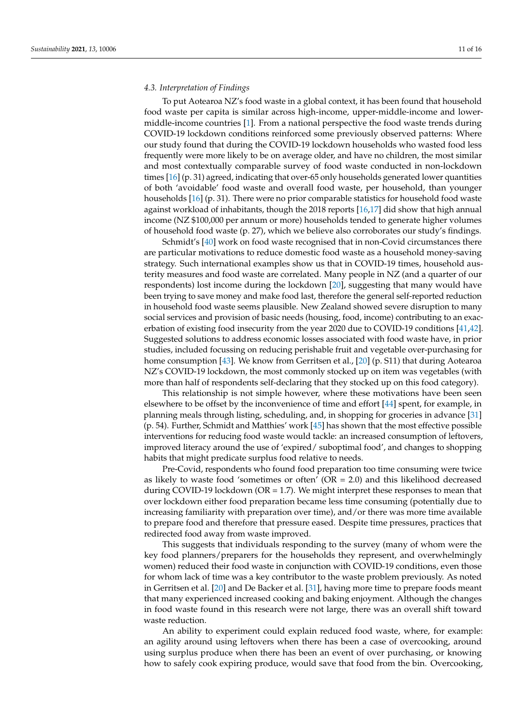### <span id="page-10-0"></span>*4.3. Interpretation of Findings*

To put Aotearoa NZ's food waste in a global context, it has been found that household food waste per capita is similar across high-income, upper-middle-income and lowermiddle-income countries [\[1\]](#page-13-0). From a national perspective the food waste trends during COVID-19 lockdown conditions reinforced some previously observed patterns: Where our study found that during the COVID-19 lockdown households who wasted food less frequently were more likely to be on average older, and have no children, the most similar and most contextually comparable survey of food waste conducted in non-lockdown times [\[16\]](#page-14-0) (p. 31) agreed, indicating that over-65 only households generated lower quantities of both 'avoidable' food waste and overall food waste, per household, than younger households [\[16\]](#page-14-0) (p. 31). There were no prior comparable statistics for household food waste against workload of inhabitants, though the 2018 reports [\[16](#page-14-0)[,17\]](#page-14-1) did show that high annual income (NZ \$100,000 per annum or more) households tended to generate higher volumes of household food waste (p. 27), which we believe also corroborates our study's findings.

Schmidt's [\[40\]](#page-14-22) work on food waste recognised that in non-Covid circumstances there are particular motivations to reduce domestic food waste as a household money-saving strategy. Such international examples show us that in COVID-19 times, household austerity measures and food waste are correlated. Many people in NZ (and a quarter of our respondents) lost income during the lockdown [\[20\]](#page-14-4), suggesting that many would have been trying to save money and make food last, therefore the general self-reported reduction in household food waste seems plausible. New Zealand showed severe disruption to many social services and provision of basic needs (housing, food, income) contributing to an exacerbation of existing food insecurity from the year 2020 due to COVID-19 conditions [\[41](#page-15-0)[,42\]](#page-15-1). Suggested solutions to address economic losses associated with food waste have, in prior studies, included focussing on reducing perishable fruit and vegetable over-purchasing for home consumption [\[43\]](#page-15-2). We know from Gerritsen et al., [\[20\]](#page-14-4) (p. S11) that during Aotearoa NZ's COVID-19 lockdown, the most commonly stocked up on item was vegetables (with more than half of respondents self-declaring that they stocked up on this food category).

This relationship is not simple however, where these motivations have been seen elsewhere to be offset by the inconvenience of time and effort [\[44\]](#page-15-3) spent, for example, in planning meals through listing, scheduling, and, in shopping for groceries in advance [\[31\]](#page-14-15) (p. 54). Further, Schmidt and Matthies' work [\[45\]](#page-15-4) has shown that the most effective possible interventions for reducing food waste would tackle: an increased consumption of leftovers, improved literacy around the use of 'expired/ suboptimal food', and changes to shopping habits that might predicate surplus food relative to needs.

Pre-Covid, respondents who found food preparation too time consuming were twice as likely to waste food 'sometimes or often'  $(OR = 2.0)$  and this likelihood decreased during COVID-19 lockdown ( $OR = 1.7$ ). We might interpret these responses to mean that over lockdown either food preparation became less time consuming (potentially due to increasing familiarity with preparation over time), and/or there was more time available to prepare food and therefore that pressure eased. Despite time pressures, practices that redirected food away from waste improved.

This suggests that individuals responding to the survey (many of whom were the key food planners/preparers for the households they represent, and overwhelmingly women) reduced their food waste in conjunction with COVID-19 conditions, even those for whom lack of time was a key contributor to the waste problem previously. As noted in Gerritsen et al. [\[20\]](#page-14-4) and De Backer et al. [\[31\]](#page-14-15), having more time to prepare foods meant that many experienced increased cooking and baking enjoyment. Although the changes in food waste found in this research were not large, there was an overall shift toward waste reduction.

An ability to experiment could explain reduced food waste, where, for example: an agility around using leftovers when there has been a case of overcooking, around using surplus produce when there has been an event of over purchasing, or knowing how to safely cook expiring produce, would save that food from the bin. Overcooking,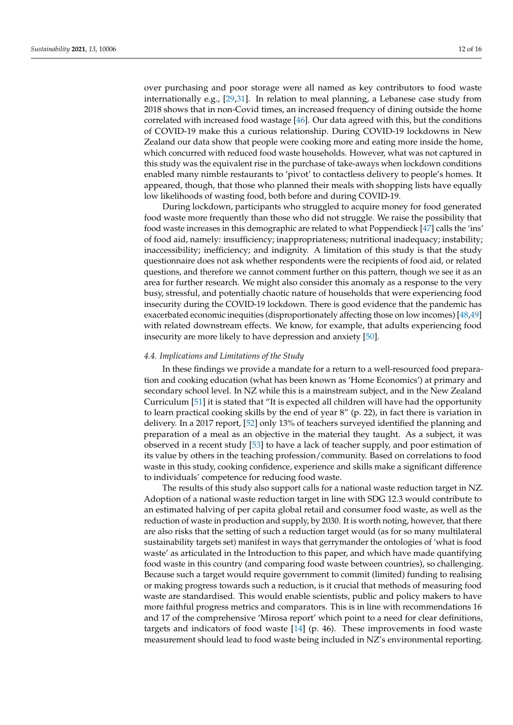over purchasing and poor storage were all named as key contributors to food waste internationally e.g.,  $[29,31]$  $[29,31]$ . In relation to meal planning, a Lebanese case study from 2018 shows that in non-Covid times, an increased frequency of dining outside the home correlated with increased food wastage [\[46\]](#page-15-5). Our data agreed with this, but the conditions of COVID-19 make this a curious relationship. During COVID-19 lockdowns in New Zealand our data show that people were cooking more and eating more inside the home, which concurred with reduced food waste households. However, what was not captured in this study was the equivalent rise in the purchase of take-aways when lockdown conditions enabled many nimble restaurants to 'pivot' to contactless delivery to people's homes. It appeared, though, that those who planned their meals with shopping lists have equally low likelihoods of wasting food, both before and during COVID-19.

During lockdown, participants who struggled to acquire money for food generated food waste more frequently than those who did not struggle. We raise the possibility that food waste increases in this demographic are related to what Poppendieck [\[47\]](#page-15-6) calls the 'ins' of food aid, namely: insufficiency; inappropriateness; nutritional inadequacy; instability; inaccessibility; inefficiency; and indignity. A limitation of this study is that the study questionnaire does not ask whether respondents were the recipients of food aid, or related questions, and therefore we cannot comment further on this pattern, though we see it as an area for further research. We might also consider this anomaly as a response to the very busy, stressful, and potentially chaotic nature of households that were experiencing food insecurity during the COVID-19 lockdown. There is good evidence that the pandemic has exacerbated economic inequities (disproportionately affecting those on low incomes) [\[48,](#page-15-7)[49\]](#page-15-8) with related downstream effects. We know, for example, that adults experiencing food insecurity are more likely to have depression and anxiety [\[50\]](#page-15-9).

### *4.4. Implications and Limitations of the Study*

In these findings we provide a mandate for a return to a well-resourced food preparation and cooking education (what has been known as 'Home Economics') at primary and secondary school level. In NZ while this is a mainstream subject, and in the New Zealand Curriculum [\[51\]](#page-15-10) it is stated that "It is expected all children will have had the opportunity to learn practical cooking skills by the end of year 8" (p. 22), in fact there is variation in delivery. In a 2017 report, [\[52\]](#page-15-11) only 13% of teachers surveyed identified the planning and preparation of a meal as an objective in the material they taught. As a subject, it was observed in a recent study [\[53\]](#page-15-12) to have a lack of teacher supply, and poor estimation of its value by others in the teaching profession/community. Based on correlations to food waste in this study, cooking confidence, experience and skills make a significant difference to individuals' competence for reducing food waste.

The results of this study also support calls for a national waste reduction target in NZ. Adoption of a national waste reduction target in line with SDG 12.3 would contribute to an estimated halving of per capita global retail and consumer food waste, as well as the reduction of waste in production and supply, by 2030. It is worth noting, however, that there are also risks that the setting of such a reduction target would (as for so many multilateral sustainability targets set) manifest in ways that gerrymander the ontologies of 'what is food waste' as articulated in the Introduction to this paper, and which have made quantifying food waste in this country (and comparing food waste between countries), so challenging. Because such a target would require government to commit (limited) funding to realising or making progress towards such a reduction, is it crucial that methods of measuring food waste are standardised. This would enable scientists, public and policy makers to have more faithful progress metrics and comparators. This is in line with recommendations 16 and 17 of the comprehensive 'Mirosa report' which point to a need for clear definitions, targets and indicators of food waste [\[14\]](#page-13-13) (p. 46). These improvements in food waste measurement should lead to food waste being included in NZ's environmental reporting.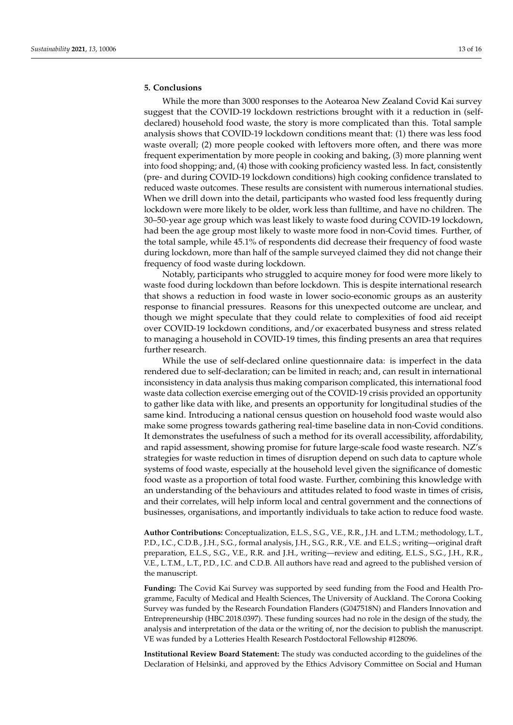# **5. Conclusions**

While the more than 3000 responses to the Aotearoa New Zealand Covid Kai survey suggest that the COVID-19 lockdown restrictions brought with it a reduction in (selfdeclared) household food waste, the story is more complicated than this. Total sample analysis shows that COVID-19 lockdown conditions meant that: (1) there was less food waste overall; (2) more people cooked with leftovers more often, and there was more frequent experimentation by more people in cooking and baking, (3) more planning went into food shopping; and, (4) those with cooking proficiency wasted less. In fact, consistently (pre- and during COVID-19 lockdown conditions) high cooking confidence translated to reduced waste outcomes. These results are consistent with numerous international studies. When we drill down into the detail, participants who wasted food less frequently during lockdown were more likely to be older, work less than fulltime, and have no children. The 30–50-year age group which was least likely to waste food during COVID-19 lockdown, had been the age group most likely to waste more food in non-Covid times. Further, of the total sample, while 45.1% of respondents did decrease their frequency of food waste during lockdown, more than half of the sample surveyed claimed they did not change their frequency of food waste during lockdown.

Notably, participants who struggled to acquire money for food were more likely to waste food during lockdown than before lockdown. This is despite international research that shows a reduction in food waste in lower socio-economic groups as an austerity response to financial pressures. Reasons for this unexpected outcome are unclear, and though we might speculate that they could relate to complexities of food aid receipt over COVID-19 lockdown conditions, and/or exacerbated busyness and stress related to managing a household in COVID-19 times, this finding presents an area that requires further research.

While the use of self-declared online questionnaire data: is imperfect in the data rendered due to self-declaration; can be limited in reach; and, can result in international inconsistency in data analysis thus making comparison complicated, this international food waste data collection exercise emerging out of the COVID-19 crisis provided an opportunity to gather like data with like, and presents an opportunity for longitudinal studies of the same kind. Introducing a national census question on household food waste would also make some progress towards gathering real-time baseline data in non-Covid conditions. It demonstrates the usefulness of such a method for its overall accessibility, affordability, and rapid assessment, showing promise for future large-scale food waste research. NZ's strategies for waste reduction in times of disruption depend on such data to capture whole systems of food waste, especially at the household level given the significance of domestic food waste as a proportion of total food waste. Further, combining this knowledge with an understanding of the behaviours and attitudes related to food waste in times of crisis, and their correlates, will help inform local and central government and the connections of businesses, organisations, and importantly individuals to take action to reduce food waste.

**Author Contributions:** Conceptualization, E.L.S., S.G., V.E., R.R., J.H. and L.T.M.; methodology, L.T., P.D., I.C., C.D.B., J.H., S.G., formal analysis, J.H., S.G., R.R., V.E. and E.L.S.; writing—original draft preparation, E.L.S., S.G., V.E., R.R. and J.H., writing—review and editing, E.L.S., S.G., J.H., R.R., V.E., L.T.M., L.T., P.D., I.C. and C.D.B. All authors have read and agreed to the published version of the manuscript.

**Funding:** The Covid Kai Survey was supported by seed funding from the Food and Health Programme, Faculty of Medical and Health Sciences, The University of Auckland. The Corona Cooking Survey was funded by the Research Foundation Flanders (G047518N) and Flanders Innovation and Entrepreneurship (HBC.2018.0397). These funding sources had no role in the design of the study, the analysis and interpretation of the data or the writing of, nor the decision to publish the manuscript. VE was funded by a Lotteries Health Research Postdoctoral Fellowship #128096.

**Institutional Review Board Statement:** The study was conducted according to the guidelines of the Declaration of Helsinki, and approved by the Ethics Advisory Committee on Social and Human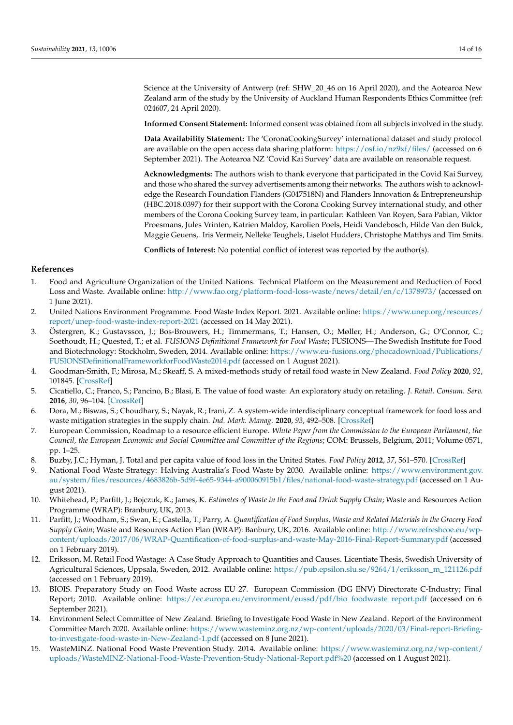Science at the University of Antwerp (ref: SHW\_20\_46 on 16 April 2020), and the Aotearoa New Zealand arm of the study by the University of Auckland Human Respondents Ethics Committee (ref: 024607, 24 April 2020).

**Informed Consent Statement:** Informed consent was obtained from all subjects involved in the study.

**Data Availability Statement:** The 'CoronaCookingSurvey' international dataset and study protocol are available on the open access data sharing platform: <https://osf.io/nz9xf/files/> (accessed on 6 September 2021). The Aotearoa NZ 'Covid Kai Survey' data are available on reasonable request.

**Acknowledgments:** The authors wish to thank everyone that participated in the Covid Kai Survey, and those who shared the survey advertisements among their networks. The authors wish to acknowledge the Research Foundation Flanders (G047518N) and Flanders Innovation & Entrepreneurship (HBC.2018.0397) for their support with the Corona Cooking Survey international study, and other members of the Corona Cooking Survey team, in particular: Kathleen Van Royen, Sara Pabian, Viktor Proesmans, Jules Vrinten, Katrien Maldoy, Karolien Poels, Heidi Vandebosch, Hilde Van den Bulck, Maggie Geuens,. Iris Vermeir, Nelleke Teughels, Liselot Hudders, Christophe Matthys and Tim Smits.

**Conflicts of Interest:** No potential conflict of interest was reported by the author(s).

# **References**

- <span id="page-13-0"></span>1. Food and Agriculture Organization of the United Nations. Technical Platform on the Measurement and Reduction of Food Loss and Waste. Available online: <http://www.fao.org/platform-food-loss-waste/news/detail/en/c/1378973/> (accessed on 1 June 2021).
- <span id="page-13-1"></span>2. United Nations Environment Programme. Food Waste Index Report. 2021. Available online: [https://www.unep.org/resources/](https://www.unep.org/resources/report/unep-food-waste-index-report-2021) [report/unep-food-waste-index-report-2021](https://www.unep.org/resources/report/unep-food-waste-index-report-2021) (accessed on 14 May 2021).
- <span id="page-13-2"></span>3. Östergren, K.; Gustavsson, J.; Bos-Brouwers, H.; Timmermans, T.; Hansen, O.; Møller, H.; Anderson, G.; O'Connor, C.; Soethoudt, H.; Quested, T.; et al. *FUSIONS Definitional Framework for Food Waste*; FUSIONS—The Swedish Institute for Food and Biotechnology: Stockholm, Sweden, 2014. Available online: [https://www.eu-fusions.org/phocadownload/Publications/](https://www.eu-fusions.org/phocadownload/Publications/FUSIONS Definitional Framework for Food Waste 2014.pdf) [FUSIONSDefinitionalFrameworkforFoodWaste2014.pdf](https://www.eu-fusions.org/phocadownload/Publications/FUSIONS Definitional Framework for Food Waste 2014.pdf) (accessed on 1 August 2021).
- <span id="page-13-3"></span>4. Goodman-Smith, F.; Mirosa, M.; Skeaff, S. A mixed-methods study of retail food waste in New Zealand. *Food Policy* **2020**, *92*, 101845. [\[CrossRef\]](http://doi.org/10.1016/j.foodpol.2020.101845)
- <span id="page-13-4"></span>5. Cicatiello, C.; Franco, S.; Pancino, B.; Blasi, E. The value of food waste: An exploratory study on retailing. *J. Retail. Consum. Serv.* **2016**, *30*, 96–104. [\[CrossRef\]](http://doi.org/10.1016/j.jretconser.2016.01.004)
- <span id="page-13-5"></span>6. Dora, M.; Biswas, S.; Choudhary, S.; Nayak, R.; Irani, Z. A system-wide interdisciplinary conceptual framework for food loss and waste mitigation strategies in the supply chain. *Ind. Mark. Manag.* **2020**, *93*, 492–508. [\[CrossRef\]](http://doi.org/10.1016/j.indmarman.2020.10.013)
- <span id="page-13-6"></span>7. European Commission, Roadmap to a resource efficient Europe. *White Paper from the Commission to the European Parliament, the Council, the European Economic and Social Committee and Committee of the Regions*; COM: Brussels, Belgium, 2011; Volume 0571, pp. 1–25.
- <span id="page-13-7"></span>8. Buzby, J.C.; Hyman, J. Total and per capita value of food loss in the United States. *Food Policy* **2012**, *37*, 561–570. [\[CrossRef\]](http://doi.org/10.1016/j.foodpol.2012.06.002)
- <span id="page-13-8"></span>9. National Food Waste Strategy: Halving Australia's Food Waste by 2030. Available online: [https://www.environment.gov.](https://www.environment.gov.au/system/files/resources/4683826b-5d9f-4e65-9344-a900060915b1/files/national-food-waste-strategy.pdf) [au/system/files/resources/4683826b-5d9f-4e65-9344-a900060915b1/files/national-food-waste-strategy.pdf](https://www.environment.gov.au/system/files/resources/4683826b-5d9f-4e65-9344-a900060915b1/files/national-food-waste-strategy.pdf) (accessed on 1 August 2021).
- <span id="page-13-9"></span>10. Whitehead, P.; Parfitt, J.; Bojczuk, K.; James, K. *Estimates of Waste in the Food and Drink Supply Chain*; Waste and Resources Action Programme (WRAP): Branbury, UK, 2013.
- <span id="page-13-10"></span>11. Parfitt, J.; Woodham, S.; Swan, E.; Castella, T.; Parry, A. *Quantification of Food Surplus, Waste and Related Materials in the Grocery Food Supply Chain*; Waste and Resources Action Plan (WRAP): Banbury, UK, 2016. Available online: [http://www.refreshcoe.eu/wp](http://www.refreshcoe.eu/wp-content/uploads/2017/06/WRAP-Quantification-of-food-surplus-and-waste-May-2016-Final-Report-Summary.pdf)[content/uploads/2017/06/WRAP-Quantification-of-food-surplus-and-waste-May-2016-Final-Report-Summary.pdf](http://www.refreshcoe.eu/wp-content/uploads/2017/06/WRAP-Quantification-of-food-surplus-and-waste-May-2016-Final-Report-Summary.pdf) (accessed on 1 February 2019).
- <span id="page-13-11"></span>12. Eriksson, M. Retail Food Wastage: A Case Study Approach to Quantities and Causes. Licentiate Thesis, Swedish University of Agricultural Sciences, Uppsala, Sweden, 2012. Available online: [https://pub.epsilon.slu.se/9264/1/eriksson\\_m\\_121126.pdf](https://pub.epsilon.slu.se/9264/1/eriksson_m_121126.pdf) (accessed on 1 February 2019).
- <span id="page-13-12"></span>13. BIOIS. Preparatory Study on Food Waste across EU 27. European Commission (DG ENV) Directorate C-Industry; Final Report; 2010. Available online: [https://ec.europa.eu/environment/eussd/pdf/bio\\_foodwaste\\_report.pdf](https://ec.europa.eu/environment/eussd/pdf/bio_foodwaste_report.pdf) (accessed on 6 September 2021).
- <span id="page-13-13"></span>14. Environment Select Committee of New Zealand. Briefing to Investigate Food Waste in New Zealand. Report of the Environment Committee March 2020. Available online: [https://www.wasteminz.org.nz/wp-content/uploads/2020/03/Final-report-Briefing](https://www.wasteminz.org.nz/wp-content/uploads/2020/03/Final-report-Briefing-to-investigate-food-waste-in-New-Zealand-1.pdf)[to-investigate-food-waste-in-New-Zealand-1.pdf](https://www.wasteminz.org.nz/wp-content/uploads/2020/03/Final-report-Briefing-to-investigate-food-waste-in-New-Zealand-1.pdf) (accessed on 8 June 2021).
- <span id="page-13-14"></span>15. WasteMINZ. National Food Waste Prevention Study. 2014. Available online: [https://www.wasteminz.org.nz/wp-content/](https://www.wasteminz.org.nz/wp-content/uploads/WasteMINZ-National-Food-Waste-Prevention-Study-National-Report.pdf%20) [uploads/WasteMINZ-National-Food-Waste-Prevention-Study-National-Report.pdf%20](https://www.wasteminz.org.nz/wp-content/uploads/WasteMINZ-National-Food-Waste-Prevention-Study-National-Report.pdf%20) (accessed on 1 August 2021).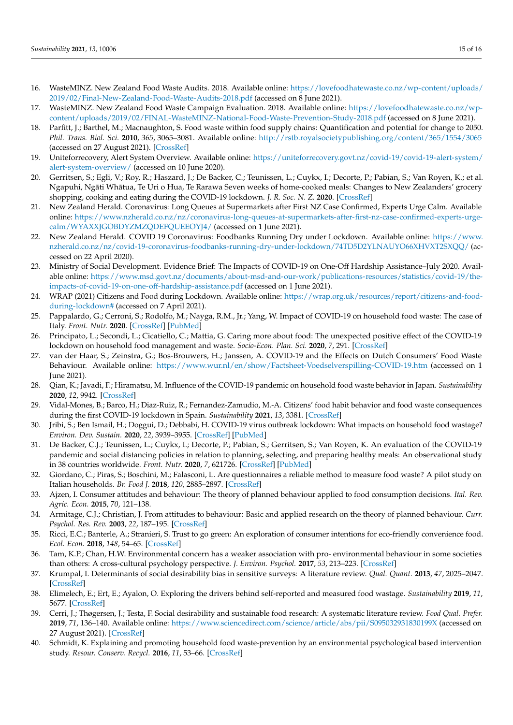- <span id="page-14-0"></span>16. WasteMINZ. New Zealand Food Waste Audits. 2018. Available online: [https://lovefoodhatewaste.co.nz/wp-content/uploads/](https://lovefoodhatewaste.co.nz/wp-content/uploads/2019/02/Final-New-Zealand-Food-Waste-Audits-2018.pdf) [2019/02/Final-New-Zealand-Food-Waste-Audits-2018.pdf](https://lovefoodhatewaste.co.nz/wp-content/uploads/2019/02/Final-New-Zealand-Food-Waste-Audits-2018.pdf) (accessed on 8 June 2021).
- <span id="page-14-1"></span>17. WasteMINZ. New Zealand Food Waste Campaign Evaluation. 2018. Available online: [https://lovefoodhatewaste.co.nz/wp](https://lovefoodhatewaste.co.nz/wp-content/uploads/2019/02/FINAL-WasteMINZ-National-Food-Waste-Prevention-Study-2018.pdf)[content/uploads/2019/02/FINAL-WasteMINZ-National-Food-Waste-Prevention-Study-2018.pdf](https://lovefoodhatewaste.co.nz/wp-content/uploads/2019/02/FINAL-WasteMINZ-National-Food-Waste-Prevention-Study-2018.pdf) (accessed on 8 June 2021).
- <span id="page-14-2"></span>18. Parfitt, J.; Barthel, M.; Macnaughton, S. Food waste within food supply chains: Quantification and potential for change to 2050. *Phil. Trans. Biol. Sci.* **2010**, *365*, 3065–3081. Available online: <http://rstb.royalsocietypublishing.org/content/365/1554/3065> (accessed on 27 August 2021). [\[CrossRef\]](http://doi.org/10.1098/rstb.2010.0126)
- <span id="page-14-3"></span>19. Uniteforrecovery, Alert System Overview. Available online: [https://uniteforrecovery.govt.nz/covid-19/covid-19-alert-system/](https://uniteforrecovery.govt.nz/covid-19/covid-19-alert-system/alert-system-overview/) [alert-system-overview/](https://uniteforrecovery.govt.nz/covid-19/covid-19-alert-system/alert-system-overview/) (accessed on 10 June 2020).
- <span id="page-14-4"></span>20. Gerritsen, S.; Egli, V.; Roy, R.; Haszard, J.; De Backer, C.; Teunissen, L.; Cuykx, I.; Decorte, P.; Pabian, S.; Van Royen, K.; et al. Ngapuhi, Ngāti Whātua, Te Uri o Hua, Te Rarawa Seven weeks of home-cooked meals: Changes to New Zealanders' grocery shopping, cooking and eating during the COVID-19 lockdown. *J. R. Soc. N. Z.* **2020**. [\[CrossRef\]](http://doi.org/10.1080/03036758.2020.1841010)
- <span id="page-14-5"></span>21. New Zealand Herald. Coronavirus: Long Queues at Supermarkets after First NZ Case Confirmed, Experts Urge Calm. Available online: [https://www.nzherald.co.nz/nz/coronavirus-long-queues-at-supermarkets-after-first-nz-case-confirmed-experts-urge](https://www.nzherald.co.nz/nz/coronavirus-long-queues-at-supermarkets-after-first-nz-case-confirmed-experts-urge-calm/WYAXXJGOBDYZMZQDEFQUEEOYJ4/)[calm/WYAXXJGOBDYZMZQDEFQUEEOYJ4/](https://www.nzherald.co.nz/nz/coronavirus-long-queues-at-supermarkets-after-first-nz-case-confirmed-experts-urge-calm/WYAXXJGOBDYZMZQDEFQUEEOYJ4/) (accessed on 1 June 2021).
- <span id="page-14-6"></span>22. New Zealand Herald. COVID 19 Coronavirus: Foodbanks Running Dry under Lockdown. Available online: [https://www.](https://www.nzherald.co.nz/nz/covid-19-coronavirus-foodbanks-running-dry-under-lockdown/74TD5D2YLNAUYO66XHVXT2SXQQ/) [nzherald.co.nz/nz/covid-19-coronavirus-foodbanks-running-dry-under-lockdown/74TD5D2YLNAUYO66XHVXT2SXQQ/](https://www.nzherald.co.nz/nz/covid-19-coronavirus-foodbanks-running-dry-under-lockdown/74TD5D2YLNAUYO66XHVXT2SXQQ/) (accessed on 22 April 2020).
- <span id="page-14-7"></span>23. Ministry of Social Development. Evidence Brief: The Impacts of COVID-19 on One-Off Hardship Assistance–July 2020. Available online: [https://www.msd.govt.nz/documents/about-msd-and-our-work/publications-resources/statistics/covid-19/the](https://www.msd.govt.nz/documents/about-msd-and-our-work/publications-resources/statistics/covid-19/the-impacts-of-covid-19-on-one-off-hardship-assistance.pdf)[impacts-of-covid-19-on-one-off-hardship-assistance.pdf](https://www.msd.govt.nz/documents/about-msd-and-our-work/publications-resources/statistics/covid-19/the-impacts-of-covid-19-on-one-off-hardship-assistance.pdf) (accessed on 1 June 2021).
- <span id="page-14-8"></span>24. WRAP (2021) Citizens and Food during Lockdown. Available online: [https://wrap.org.uk/resources/report/citizens-and-food](https://wrap.org.uk/resources/report/citizens-and-food-during-lockdown#)[during-lockdown#](https://wrap.org.uk/resources/report/citizens-and-food-during-lockdown#) (accessed on 7 April 2021).
- <span id="page-14-9"></span>25. Pappalardo, G.; Cerroni, S.; Rodolfo, M.; Nayga, R.M., Jr.; Yang, W. Impact of COVID-19 on household food waste: The case of Italy. *Front. Nutr.* **2020**. [\[CrossRef\]](http://doi.org/10.3389/fnut.2020.585090) [\[PubMed\]](http://www.ncbi.nlm.nih.gov/pubmed/33344492)
- <span id="page-14-10"></span>26. Principato, L.; Secondi, L.; Cicatiello, C.; Mattia, G. Caring more about food: The unexpected positive effect of the COVID-19 lockdown on household food management and waste. *Socio-Econ. Plan. Sci.* **2020**, *7*, 291. [\[CrossRef\]](http://doi.org/10.1016/j.seps.2020.100953)
- <span id="page-14-11"></span>27. van der Haar, S.; Zeinstra, G.; Bos-Brouwers, H.; Janssen, A. COVID-19 and the Effects on Dutch Consumers' Food Waste Behaviour. Available online: <https://www.wur.nl/en/show/Factsheet-Voedselverspilling-COVID-19.htm> (accessed on 1 June 2021).
- <span id="page-14-12"></span>28. Qian, K.; Javadi, F.; Hiramatsu, M. Influence of the COVID-19 pandemic on household food waste behavior in Japan. *Sustainability* **2020**, *12*, 9942. [\[CrossRef\]](http://doi.org/10.3390/su12239942)
- <span id="page-14-13"></span>29. Vidal-Mones, B.; Barco, H.; Diaz-Ruiz, R.; Fernandez-Zamudio, M.-A. Citizens' food habit behavior and food waste consequences during the first COVID-19 lockdown in Spain. *Sustainability* **2021**, *13*, 3381. [\[CrossRef\]](http://doi.org/10.3390/su13063381)
- <span id="page-14-14"></span>30. Jribi, S.; Ben Ismail, H.; Doggui, D.; Debbabi, H. COVID-19 virus outbreak lockdown: What impacts on household food wastage? *Environ. Dev. Sustain.* **2020**, *22*, 3939–3955. [\[CrossRef\]](http://doi.org/10.1007/s10668-020-00740-y) [\[PubMed\]](http://www.ncbi.nlm.nih.gov/pubmed/32837271)
- <span id="page-14-15"></span>31. De Backer, C.J.; Teunissen, L.; Cuykx, I.; Decorte, P.; Pabian, S.; Gerritsen, S.; Van Royen, K. An evaluation of the COVID-19 pandemic and social distancing policies in relation to planning, selecting, and preparing healthy meals: An observational study in 38 countries worldwide. *Front. Nutr.* **2020**, *7*, 621726. [\[CrossRef\]](http://doi.org/10.3389/fnut.2020.621726) [\[PubMed\]](http://www.ncbi.nlm.nih.gov/pubmed/33614693)
- <span id="page-14-16"></span>32. Giordano, C.; Piras, S.; Boschini, M.; Falasconi, L. Are questionnaires a reliable method to measure food waste? A pilot study on Italian households. *Br. Food J.* **2018**, *120*, 2885–2897. [\[CrossRef\]](http://doi.org/10.1108/BFJ-02-2018-0081)
- <span id="page-14-17"></span>33. Ajzen, I. Consumer attitudes and behaviour: The theory of planned behaviour applied to food consumption decisions. *Ital. Rev. Agric. Econ.* **2015**, *70*, 121–138.
- 34. Armitage, C.J.; Christian, J. From attitudes to behaviour: Basic and applied research on the theory of planned behaviour. *Curr. Psychol. Res. Rev.* **2003**, *22*, 187–195. [\[CrossRef\]](http://doi.org/10.1007/s12144-003-1015-5)
- 35. Ricci, E.C.; Banterle, A.; Stranieri, S. Trust to go green: An exploration of consumer intentions for eco-friendly convenience food. *Ecol. Econ.* **2018**, *148*, 54–65. [\[CrossRef\]](http://doi.org/10.1016/j.ecolecon.2018.02.010)
- <span id="page-14-18"></span>36. Tam, K.P.; Chan, H.W. Environmental concern has a weaker association with pro- environmental behaviour in some societies than others: A cross-cultural psychology perspective. *J. Environ. Psychol.* **2017**, *53*, 213–223. [\[CrossRef\]](http://doi.org/10.1016/j.jenvp.2017.09.001)
- <span id="page-14-19"></span>37. Krumpal, I. Determinants of social desirability bias in sensitive surveys: A literature review. *Qual. Quant.* **2013**, *47*, 2025–2047. [\[CrossRef\]](http://doi.org/10.1007/s11135-011-9640-9)
- <span id="page-14-20"></span>38. Elimelech, E.; Ert, E.; Ayalon, O. Exploring the drivers behind self-reported and measured food wastage. *Sustainability* **2019**, *11*, 5677. [\[CrossRef\]](http://doi.org/10.3390/su11205677)
- <span id="page-14-21"></span>39. Cerri, J.; Thøgersen, J.; Testa, F. Social desirability and sustainable food research: A systematic literature review. *Food Qual. Prefer.* **2019**, *71*, 136–140. Available online: <https://www.sciencedirect.com/science/article/abs/pii/S095032931830199X> (accessed on 27 August 2021). [\[CrossRef\]](http://doi.org/10.1016/j.foodqual.2018.06.013)
- <span id="page-14-22"></span>40. Schmidt, K. Explaining and promoting household food waste-prevention by an environmental psychological based intervention study. *Resour. Conserv. Recycl.* **2016**, *11*, 53–66. [\[CrossRef\]](http://doi.org/10.1016/j.resconrec.2016.04.006)